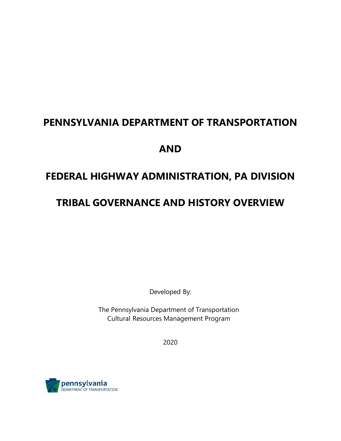# **PENNSYLVANIA DEPARTMENT OF TRANSPORTATION AND FEDERAL HIGHWAY ADMINISTRATION, PA DIVISION**

## **TRIBAL GOVERNANCE AND HISTORY OVERVIEW**

Developed By:

The Pennsylvania Department of Transportation Cultural Resources Management Program

2020

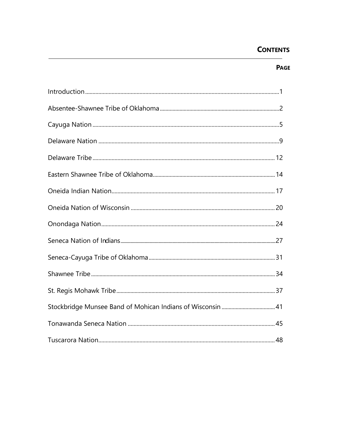## **CONTENTS**

## **PAGE**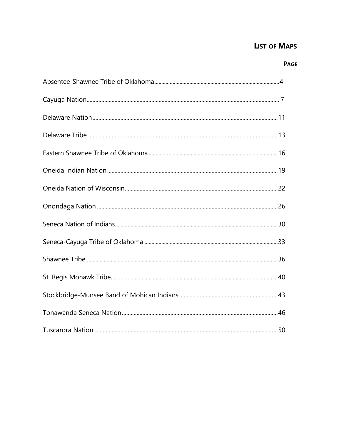## **LIST OF MAPS**

#### **PAGE**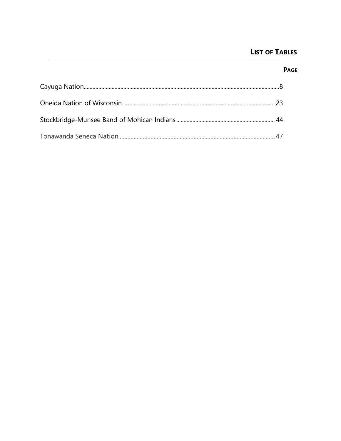## **LIST OF TABLES**

**PAGE**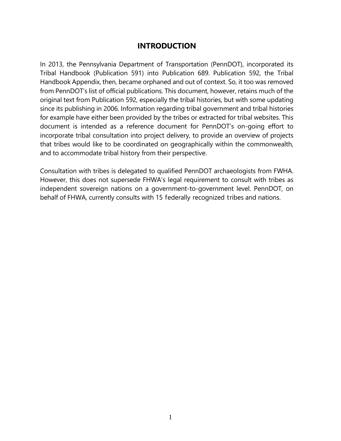## **INTRODUCTION**

In 2013, the Pennsylvania Department of Transportation (PennDOT), incorporated its Tribal Handbook (Publication 591) into Publication 689. Publication 592, the Tribal Handbook Appendix, then, became orphaned and out of context. So, it too was removed from PennDOT's list of official publications. This document, however, retains much of the original text from Publication 592, especially the tribal histories, but with some updating since its publishing in 2006. Information regarding tribal government and tribal histories for example have either been provided by the tribes or extracted for tribal websites. This document is intended as a reference document for PennDOT's on-going effort to incorporate tribal consultation into project delivery, to provide an overview of projects that tribes would like to be coordinated on geographically within the commonwealth, and to accommodate tribal history from their perspective.

Consultation with tribes is delegated to qualified PennDOT archaeologists from FWHA. However, this does not supersede FHWA's legal requirement to consult with tribes as independent sovereign nations on a government-to-government level. PennDOT, on behalf of FHWA, currently consults with 15 federally recognized tribes and nations.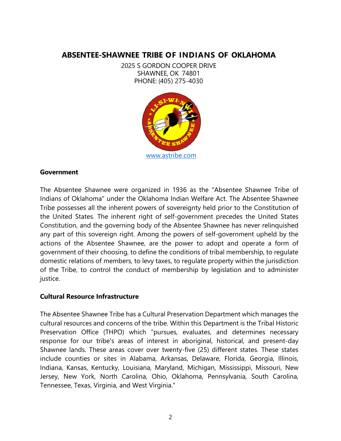## **ABSENTEE-SHAWNEE TRIBE OF INDIANS OF OKLAHOMA**

2025 S GORDON COOPER DRIVE SHAWNEE, OK 74801 PHONE: (405) 275-4030



#### **Government**

The Absentee Shawnee were organized in 1936 as the "Absentee Shawnee Tribe of Indians of Oklahoma" under the Oklahoma Indian Welfare Act. The Absentee Shawnee Tribe possesses all the inherent powers of sovereignty held prior to the Constitution of the United States. The inherent right of self-government precedes the United States Constitution, and the governing body of the Absentee Shawnee has never relinquished any part of this sovereign right. Among the powers of self-government upheld by the actions of the Absentee Shawnee, are the power to adopt and operate a form of government of their choosing, to define the conditions of tribal membership, to regulate domestic relations of members, to levy taxes, to regulate property within the jurisdiction of the Tribe, to control the conduct of membership by legislation and to administer justice.

#### **Cultural Resource Infrastructure**

The Absentee Shawnee Tribe has a Cultural Preservation Department which manages the cultural resources and concerns of the tribe. Within this Department is the Tribal Historic Preservation Office (THPO) which "pursues, evaluates, and determines necessary response for our tribe's areas of interest in aboriginal, historical, and present-day Shawnee lands. These areas cover over twenty-five (25) different states. These states include counties or sites in Alabama, Arkansas, Delaware, Florida, Georgia, Illinois, Indiana, Kansas, Kentucky, Louisiana, Maryland, Michigan, Mississippi, Missouri, New Jersey, New York, North Carolina, Ohio, Oklahoma, Pennsylvania, South Carolina, Tennessee, Texas, Virginia, and West Virginia."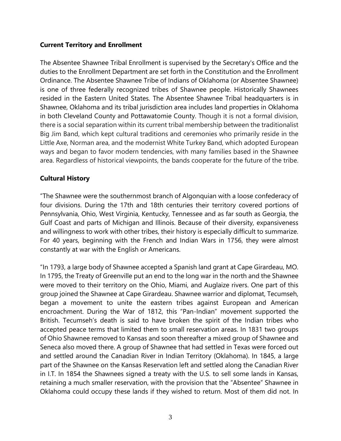#### **Current Territory and Enrollment**

The Absentee Shawnee Tribal Enrollment is supervised by the Secretary's Office and the duties to the Enrollment Department are set forth in the Constitution and the Enrollment Ordinance. The Absentee Shawnee Tribe of Indians of Oklahoma (or Absentee Shawnee) is one of three [federally recognized tribes](https://en.wikipedia.org/wiki/Federally_recognized_tribes) of [Shawnee](https://en.wikipedia.org/wiki/Shawnee) people. Historically Shawnees resided in the [Eastern United States.](https://en.wikipedia.org/wiki/Eastern_United_States) The Absentee Shawnee Tribal headquarters is in Shawnee, Oklahoma and its tribal jurisdiction area includes land properties in Oklahoma in both [Cleveland County](https://en.wikipedia.org/wiki/Cleveland_County,_Oklahoma) and [Pottawatomie County.](https://en.wikipedia.org/wiki/Pottawatomie_County,_Oklahoma) Though it is not a formal division, there is a social separation within its current tribal membership between the traditionalist Big Jim Band, which kept cultural traditions and ceremonies who primarily reside in the Little Axe, Norman area, and the modernist White Turkey Band, which adopted European ways and began to favor modern tendencies, with many families based in the Shawnee area. Regardless of historical viewpoints, the bands cooperate for the future of the tribe.

#### **Cultural History**

"The Shawnee were the southernmost branch of Algonquian with a loose confederacy of four divisions. During the 17th and 18th centuries their territory covered portions of Pennsylvania, Ohio, West Virginia, Kentucky, Tennessee and as far south as Georgia, the Gulf Coast and parts of Michigan and Illinois. Because of their diversity, expansiveness and willingness to work with other tribes, their history is especially difficult to summarize. For 40 years, beginning with the French and Indian Wars in 1756, they were almost constantly at war with the English or Americans.

"In 1793, a large body of Shawnee accepted a Spanish land grant at Cape Girardeau, MO. In 1795, the Treaty of Greenville put an end to the long war in the north and the Shawnee were moved to their territory on the Ohio, Miami, and Auglaize rivers. One part of this group joined the Shawnee at Cape Girardeau. Shawnee warrior and diplomat, Tecumseh, began a movement to unite the eastern tribes against European and American encroachment. During the War of 1812, this "Pan-Indian" movement supported the British. Tecumseh's death is said to have broken the spirit of the Indian tribes who accepted peace terms that limited them to small reservation areas. In 1831 two groups of Ohio Shawnee removed to Kansas and soon thereafter a mixed group of Shawnee and Seneca also moved there. A group of Shawnee that had settled in Texas were forced out and settled around the Canadian River in Indian Territory (Oklahoma). In 1845, a large part of the Shawnee on the Kansas Reservation left and settled along the Canadian River in I.T. In 1854 the Shawnees signed a treaty with the U.S. to sell some lands in Kansas, retaining a much smaller reservation, with the provision that the "Absentee" Shawnee in Oklahoma could occupy these lands if they wished to return. Most of them did not. In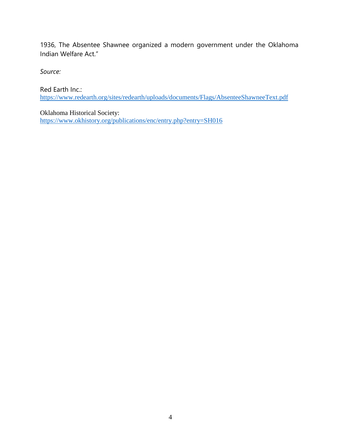1936, The Absentee Shawnee organized a modern government under the Oklahoma Indian Welfare Act."

*Source:* 

Red Earth Inc.: <https://www.redearth.org/sites/redearth/uploads/documents/Flags/AbsenteeShawneeText.pdf>

Oklahoma Historical Society: <https://www.okhistory.org/publications/enc/entry.php?entry=SH016>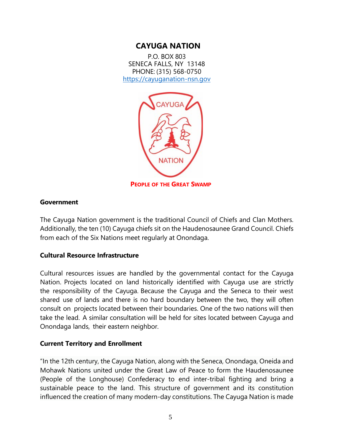## **CAYUGA NATION**

P.O. BOX 803 SENECA FALLS, NY 13148 PHONE: (315) 568-0750 [https://cayuganation-nsn.gov](https://cayuganation-nsn.gov/)



**PEOPLE OF THE GREAT SWAMP**

#### **Government**

The Cayuga Nation government is the traditional Council of Chiefs and Clan Mothers. Additionally, the ten (10) Cayuga chiefs sit on the Haudenosaunee Grand Council. Chiefs from each of the Six Nations meet regularly at Onondaga.

#### **Cultural Resource Infrastructure**

Cultural resources issues are handled by the governmental contact for the Cayuga Nation. Projects located on land historically identified with Cayuga use are strictly the responsibility of the Cayuga. Because the Cayuga and the Seneca to their west shared use of lands and there is no hard boundary between the two, they will often consult on projects located between their boundaries. One of the two nations will then take the lead. A similar consultation will be held for sites located between Cayuga and Onondaga lands, their eastern neighbor.

#### **Current Territory and Enrollment**

"In the 12th century, the Cayuga Nation, along with the Seneca, Onondaga, Oneida and Mohawk Nations united under the Great Law of Peace to form the Haudenosaunee (People of the Longhouse) Confederacy to end inter-tribal fighting and bring a sustainable peace to the land. This structure of government and its constitution influenced the creation of many modern-day constitutions. The Cayuga Nation is made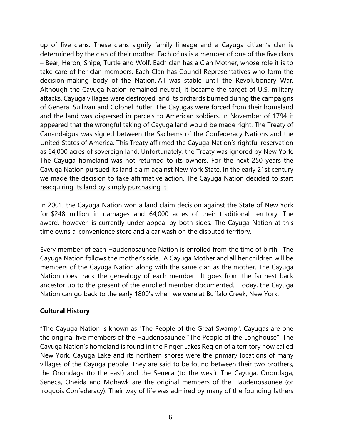up of five clans. These clans signify family lineage and a Cayuga citizen's clan is determined by the clan of their mother. Each of us is a member of one of the five clans – Bear, Heron, Snipe, Turtle and Wolf. Each clan has a Clan Mother, whose role it is to take care of her clan members. Each Clan has Council Representatives who form the decision-making body of the Nation. All was stable until the Revolutionary War. Although the Cayuga Nation remained neutral, it became the target of U.S. military attacks. Cayuga villages were destroyed, and its orchards burned during the campaigns of General Sullivan and Colonel Butler. The Cayugas were forced from their homeland and the land was dispersed in parcels to American soldiers. In November of 1794 it appeared that the wrongful taking of Cayuga land would be made right. The Treaty of Canandaigua was signed between the Sachems of the Confederacy Nations and the United States of America. This Treaty affirmed the Cayuga Nation's rightful reservation as 64,000 acres of sovereign land. Unfortunately, the Treaty was ignored by New York. The Cayuga homeland was not returned to its owners. For the next 250 years the Cayuga Nation pursued its land claim against New York State. In the early 21st century we made the decision to take affirmative action. The Cayuga Nation decided to start reacquiring its land by simply purchasing it.

In 2001, the Cayuga Nation won a land claim decision against the State of New York for \$248 million in damages and 64,000 acres of their traditional territory. The award, however, is currently under appeal by both sides. The Cayuga Nation at this time owns a convenience store and a car wash on the disputed territory.

Every member of each Haudenosaunee Nation is enrolled from the time of birth. The Cayuga Nation follows the mother's side. A Cayuga Mother and all her children will be members of the Cayuga Nation along with the same clan as the mother. The Cayuga Nation does track the genealogy of each member. It goes from the farthest back ancestor up to the present of the enrolled member documented. Today, the Cayuga Nation can go back to the early 1800's when we were at Buffalo Creek, New York.

#### **Cultural History**

"The Cayuga Nation is known as "The People of the Great Swamp". Cayugas are one the original five members of the Haudenosaunee "The People of the Longhouse". The Cayuga Nation's homeland is found in the Finger Lakes Region of a territory now called New York. Cayuga Lake and its northern shores were the primary locations of many villages of the Cayuga people. They are said to be found between their two brothers, the Onondaga (to the east) and the Seneca (to the west). The Cayuga, Onondaga, Seneca, Oneida and Mohawk are the original members of the Haudenosaunee (or Iroquois Confederacy). Their way of life was admired by many of the founding fathers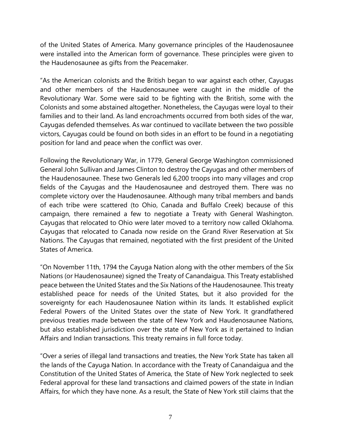of the United States of America. Many governance principles of the Haudenosaunee were installed into the American form of governance. These principles were given to the Haudenosaunee as gifts from the Peacemaker.

"As the American colonists and the British began to war against each other, Cayugas and other members of the Haudenosaunee were caught in the middle of the Revolutionary War. Some were said to be fighting with the British, some with the Colonists and some abstained altogether. Nonetheless, the Cayugas were loyal to their families and to their land. As land encroachments occurred from both sides of the war, Cayugas defended themselves. As war continued to vacillate between the two possible victors, Cayugas could be found on both sides in an effort to be found in a negotiating position for land and peace when the conflict was over.

Following the Revolutionary War, in 1779, General George Washington commissioned General John Sullivan and James Clinton to destroy the Cayugas and other members of the Haudenosaunee. These two Generals led 6,200 troops into many villages and crop fields of the Cayugas and the Haudenosaunee and destroyed them. There was no complete victory over the Haudenosaunee. Although many tribal members and bands of each tribe were scattered (to Ohio, Canada and Buffalo Creek) because of this campaign, there remained a few to negotiate a Treaty with General Washington. Cayugas that relocated to Ohio were later moved to a territory now called Oklahoma. Cayugas that relocated to Canada now reside on the Grand River Reservation at Six Nations. The Cayugas that remained, negotiated with the first president of the United States of America.

"On November 11th, 1794 the Cayuga Nation along with the other members of the Six Nations (or Haudenosaunee) signed the Treaty of Canandaigua. This Treaty established peace between the United States and the Six Nations of the Haudenosaunee. This treaty established peace for needs of the United States, but it also provided for the sovereignty for each Haudenosaunee Nation within its lands. It established explicit Federal Powers of the United States over the state of New York. It grandfathered previous treaties made between the state of New York and Haudenosaunee Nations, but also established jurisdiction over the state of New York as it pertained to Indian Affairs and Indian transactions. This treaty remains in full force today.

"Over a series of illegal land transactions and treaties, the New York State has taken all the lands of the Cayuga Nation. In accordance with the Treaty of Canandaigua and the Constitution of the United States of America, the State of New York neglected to seek Federal approval for these land transactions and claimed powers of the state in Indian Affairs, for which they have none. As a result, the State of New York still claims that the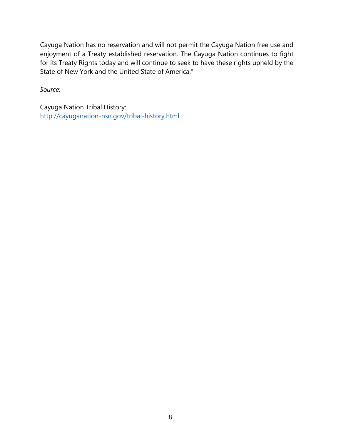Cayuga Nation has no reservation and will not permit the Cayuga Nation free use and enjoyment of a Treaty established reservation. The Cayuga Nation continues to fight for its Treaty Rights today and will continue to seek to have these rights upheld by the State of New York and the United State of America."

*Source:*

Cayuga Nation Tribal History: <http://cayuganation-nsn.gov/tribal-history.html>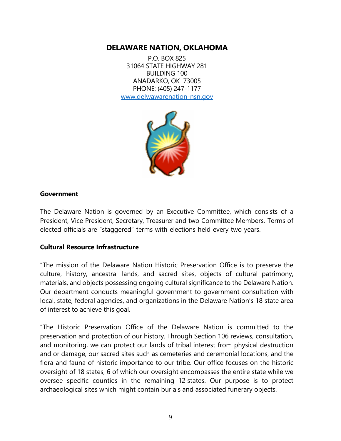## **DELAWARE NATION, OKLAHOMA**

P.O. BOX 825 31064 STATE HIGHWAY 281 BUILDING 100 ANADARKO, OK 73005 PHONE: (405) 247-1177 [www.delwawarenation-nsn.gov](http://www.delwawarenation-nsn.gov/)



#### **Government**

The Delaware Nation is governed by an Executive Committee, which consists of a President, Vice President, Secretary, Treasurer and two Committee Members. Terms of elected officials are "staggered" terms with elections held every two years.

#### **Cultural Resource Infrastructure**

"The mission of the Delaware Nation Historic Preservation Office is to preserve the culture, history, ancestral lands, and sacred sites, objects of cultural patrimony, materials, and objects possessing ongoing cultural significance to the Delaware Nation. Our department conducts meaningful government to government consultation with local, state, federal agencies, and organizations in the Delaware Nation's 18 state area of interest to achieve this goal.

"The Historic Preservation Office of the Delaware Nation is committed to the preservation and protection of our history. Through Section 106 reviews, consultation, and monitoring, we can protect our lands of tribal interest from physical destruction and or damage, our sacred sites such as cemeteries and ceremonial locations, and the flora and fauna of historic importance to our tribe. Our office focuses on the historic oversight of 18 states, 6 of which our oversight encompasses the entire state while we oversee specific counties in the remaining 12 states. Our purpose is to protect archaeological sites which might contain burials and associated funerary objects.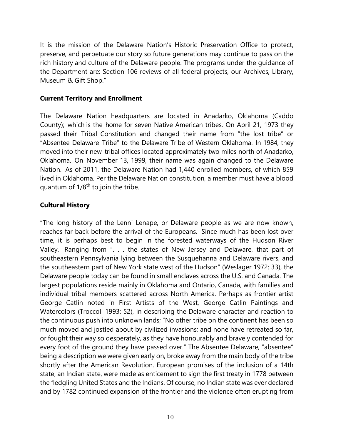It is the mission of the Delaware Nation's Historic Preservation Office to protect, preserve, and perpetuate our story so future generations may continue to pass on the rich history and culture of the Delaware people. The programs under the guidance of the Department are: Section 106 reviews of all federal projects, our Archives, Library, Museum & Gift Shop."

#### **Current Territory and Enrollment**

The Delaware Nation headquarters are located in Anadarko, Oklahoma (Caddo County); which is the home for seven Native American tribes. On April 21, 1973 they passed their Tribal Constitution and changed their name from "the lost tribe" or "Absentee Delaware Tribe" to the Delaware Tribe of Western Oklahoma. In 1984, they moved into their new tribal offices located approximately two miles north of Anadarko, Oklahoma. On November 13, 1999, their name was again changed to the Delaware Nation. As of 2011, the Delaware Nation had 1,440 enrolled members, of which 859 lived in Oklahoma. Per the Delaware Nation constitution, a member must have a blood quantum of  $1/8<sup>th</sup>$  to join the tribe.

#### **Cultural History**

"The long history of the Lenni Lenape, or Delaware people as we are now known, reaches far back before the arrival of the Europeans. Since much has been lost over time, it is perhaps best to begin in the forested waterways of the Hudson River Valley. Ranging from ". . . the states of New Jersey and Delaware, that part of southeastern Pennsylvania lying between the Susquehanna and Delaware rivers, and the southeastern part of New York state west of the Hudson" (Weslager 1972: 33), the Delaware people today can be found in small enclaves across the U.S. and Canada. The largest populations reside mainly in Oklahoma and Ontario, Canada, with families and individual tribal members scattered across North America. Perhaps as frontier artist George Catlin noted in First Artists of the West, George Catlin Paintings and Watercolors (Troccoli 1993: 52), in describing the Delaware character and reaction to the continuous push into unknown lands; "No other tribe on the continent has been so much moved and jostled about by civilized invasions; and none have retreated so far, or fought their way so desperately, as they have honourably and bravely contended for every foot of the ground they have passed over." The Absentee Delaware, "absentee" being a description we were given early on, broke away from the main body of the tribe shortly after the American Revolution. European promises of the inclusion of a 14th state, an Indian state, were made as enticement to sign the first treaty in 1778 between the fledgling United States and the Indians. Of course, no Indian state was ever declared and by 1782 continued expansion of the frontier and the violence often erupting from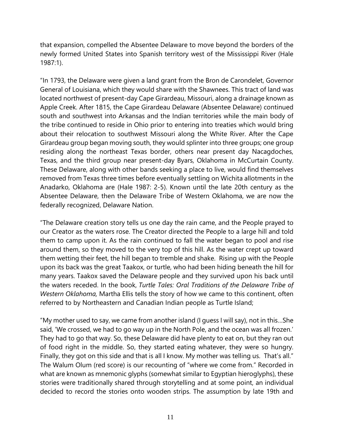that expansion, compelled the Absentee Delaware to move beyond the borders of the newly formed United States into Spanish territory west of the Mississippi River (Hale 1987:1).

"In 1793, the Delaware were given a land grant from the Bron de Carondelet, Governor General of Louisiana, which they would share with the Shawnees. This tract of land was located northwest of present-day Cape Girardeau, Missouri, along a drainage known as Apple Creek. After 1815, the Cape Girardeau Delaware (Absentee Delaware) continued south and southwest into Arkansas and the Indian territories while the main body of the tribe continued to reside in Ohio prior to entering into treaties which would bring about their relocation to southwest Missouri along the White River. After the Cape Girardeau group began moving south, they would splinter into three groups; one group residing along the northeast Texas border, others near present day Nacagdoches, Texas, and the third group near present-day Byars, Oklahoma in McCurtain County. These Delaware, along with other bands seeking a place to live, would find themselves removed from Texas three times before eventually settling on Wichita allotments in the Anadarko, Oklahoma are (Hale 1987: 2-5). Known until the late 20th century as the Absentee Delaware, then the Delaware Tribe of Western Oklahoma, we are now the federally recognized, Delaware Nation.

"The Delaware creation story tells us one day the rain came, and the People prayed to our Creator as the waters rose. The Creator directed the People to a large hill and told them to camp upon it. As the rain continued to fall the water began to pool and rise around them, so they moved to the very top of this hill. As the water crept up toward them wetting their feet, the hill began to tremble and shake. Rising up with the People upon its back was the great Taakox, or turtle, who had been hiding beneath the hill for many years. Taakox saved the Delaware people and they survived upon his back until the waters receded. In the book, *Turtle Tales: Oral Traditions of the Delaware Tribe of Western Oklahoma,* Martha Ellis tells the story of how we came to this continent, often referred to by Northeastern and Canadian Indian people as Turtle Island;

"My mother used to say, we came from another island (I guess I will say), not in this…She said, 'We crossed, we had to go way up in the North Pole, and the ocean was all frozen.' They had to go that way. So, these Delaware did have plenty to eat on, but they ran out of food right in the middle. So, they started eating whatever, they were so hungry. Finally, they got on this side and that is all I know. My mother was telling us. That's all." The Walum Olum (red score) is our recounting of "where we come from." Recorded in what are known as mnemonic glyphs (somewhat similar to Egyptian hieroglyphs), these stories were traditionally shared through storytelling and at some point, an individual decided to record the stories onto wooden strips. The assumption by late 19th and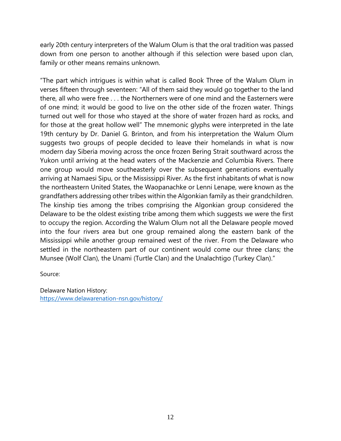early 20th century interpreters of the Walum Olum is that the oral tradition was passed down from one person to another although if this selection were based upon clan, family or other means remains unknown.

"The part which intrigues is within what is called Book Three of the Walum Olum in verses fifteen through seventeen: "All of them said they would go together to the land there, all who were free . . . the Northerners were of one mind and the Easterners were of one mind; it would be good to live on the other side of the frozen water. Things turned out well for those who stayed at the shore of water frozen hard as rocks, and for those at the great hollow well" The mnemonic glyphs were interpreted in the late 19th century by Dr. Daniel G. Brinton, and from his interpretation the Walum Olum suggests two groups of people decided to leave their homelands in what is now modern day Siberia moving across the once frozen Bering Strait southward across the Yukon until arriving at the head waters of the Mackenzie and Columbia Rivers. There one group would move southeasterly over the subsequent generations eventually arriving at Namaesi Sipu, or the Mississippi River. As the first inhabitants of what is now the northeastern United States, the Waopanachke or Lenni Lenape, were known as the grandfathers addressing other tribes within the Algonkian family as their grandchildren. The kinship ties among the tribes comprising the Algonkian group considered the Delaware to be the oldest existing tribe among them which suggests we were the first to occupy the region. According the Walum Olum not all the Delaware people moved into the four rivers area but one group remained along the eastern bank of the Mississippi while another group remained west of the river. From the Delaware who settled in the northeastern part of our continent would come our three clans; the Munsee (Wolf Clan), the Unami (Turtle Clan) and the Unalachtigo (Turkey Clan)."

Source:

Delaware Nation History: <https://www.delawarenation-nsn.gov/history/>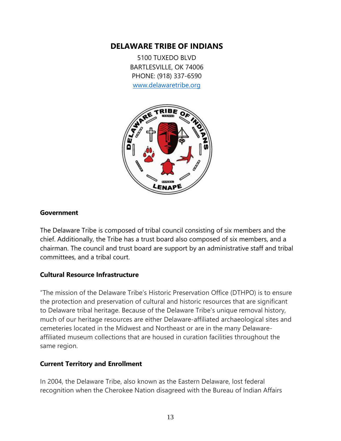## **DELAWARE TRIBE OF INDIANS**

5100 TUXEDO BLVD BARTLESVILLE, OK 74006 PHONE: (918) 337-6590 [www.delawaretribe.org](http://www.delawaretribe.org/)



#### **Government**

The Delaware Tribe is composed of tribal council consisting of six members and the chief. Additionally, the Tribe has a trust board also composed of six members, and a chairman. The council and trust board are support by an administrative staff and tribal committees, and a tribal court.

#### **Cultural Resource Infrastructure**

"The mission of the Delaware Tribe's Historic Preservation Office (DTHPO) is to ensure the protection and preservation of cultural and historic resources that are significant to Delaware tribal heritage. Because of the Delaware Tribe's unique removal history, much of our heritage resources are either Delaware-affiliated archaeological sites and cemeteries located in the Midwest and Northeast or are in the many Delawareaffiliated museum collections that are housed in curation facilities throughout the same region.

#### **Current Territory and Enrollment**

In 2004, the Delaware Tribe, also known as the Eastern Delaware, lost federal recognition when the Cherokee Nation disagreed with the Bureau of Indian Affairs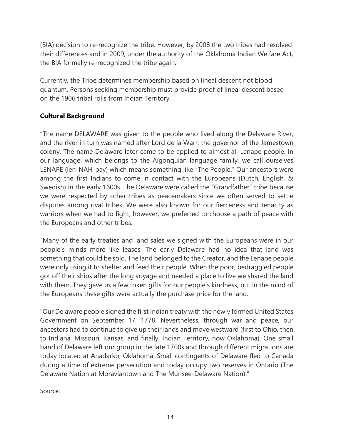(BIA) decision to re-recognize the tribe. However, by 2008 the two tribes had resolved their differences and in 2009, under the authority of the Oklahoma Indian Welfare Act, the BIA formally re-recognized the tribe again.

Currently, the Tribe determines membership based on lineal descent not blood quantum. Persons seeking membership must provide proof of lineal descent based on the 1906 tribal rolls from Indian Territory.

## **Cultural Background**

"The name DELAWARE was given to the people who lived along the Delaware River, and the river in turn was named after Lord de la Warr, the governor of the Jamestown colony. The name Delaware later came to be applied to almost all Lenape people. In our language, which belongs to the Algonquian language family, we call ourselves LENAPE (len-NAH-pay) which means something like "The People." Our ancestors were among the first Indians to come in contact with the Europeans (Dutch, English, & Swedish) in the early 1600s. The Delaware were called the "Grandfather" tribe because we were respected by other tribes as peacemakers since we often served to settle disputes among rival tribes. We were also known for our fierceness and tenacity as warriors when we had to fight, however, we preferred to choose a path of peace with the Europeans and other tribes.

"Many of the early treaties and land sales we signed with the Europeans were in our people's minds more like leases. The early Delaware had no idea that land was something that could be sold. The land belonged to the Creator, and the Lenape people were only using it to shelter and feed their people. When the poor, bedraggled people got off their ships after the long voyage and needed a place to live we shared the land with them. They gave us a few token gifts for our people's kindness, but in the mind of the Europeans these gifts were actually the purchase price for the land.

"Our Delaware people signed the first Indian treaty with the newly formed United States Government on September 17, 1778. Nevertheless, through war and peace, our ancestors had to continue to give up their lands and move westward (first to Ohio, then to Indiana, Missouri, Kansas, and finally, Indian Territory, now Oklahoma). One small band of Delaware left our group in the late 1700s and through different migrations are today located at Anadarko, Oklahoma. Small contingents of Delaware fled to Canada during a time of extreme persecution and today occupy two reserves in Ontario (The Delaware Nation at Moraviantown and The Munsee-Delaware Nation)."

Source: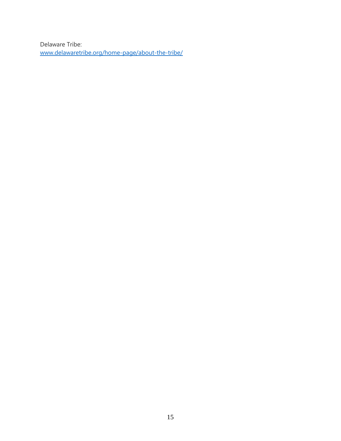Delaware Tribe: [www.delawaretribe.org/home-page/about-the-tribe/](http://www.delawaretribe.org/home-page/about-the-tribe/)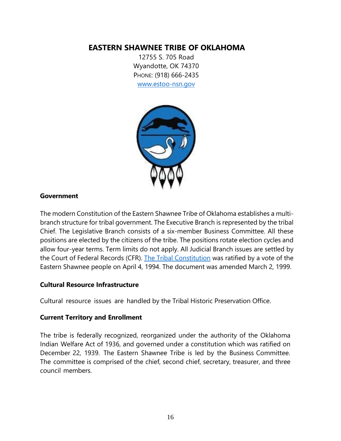## **EASTERN SHAWNEE TRIBE OF OKLAHOMA**

12755 S. 705 Road Wyandotte, OK 74370 PHONE: (918) 666-2435 [www.estoo-nsn.gov](http://www.estoo-nsn.gov/)



#### **Government**

The modern Constitution of the Eastern Shawnee Tribe of Oklahoma establishes a multibranch structure for tribal government. The Executive Branch is represented by the tribal Chief. The Legislative Branch consists of a six-member Business Committee. All these positions are elected by the citizens of the tribe. The positions rotate election cycles and allow four-year terms. Term limits do not apply. All Judicial Branch issues are settled by the Court of Federal Records (CFR). [The Tribal Constitution](https://www.estoo-nsn.gov/wp-content/uploads/2019/03/Constitution.pdf) was ratified by a vote of the Eastern Shawnee people on April 4, 1994. The document was amended March 2, 1999.

#### **Cultural Resource Infrastructure**

Cultural resource issues are handled by the Tribal Historic Preservation Office.

#### **Current Territory and Enrollment**

The tribe is federally recognized, reorganized under the authority of the Oklahoma Indian Welfare Act of 1936, and governed under a constitution which was ratified on December 22, 1939. The Eastern Shawnee Tribe is led by the Business Committee. The committee is comprised of the chief, second chief, secretary, treasurer, and three council members.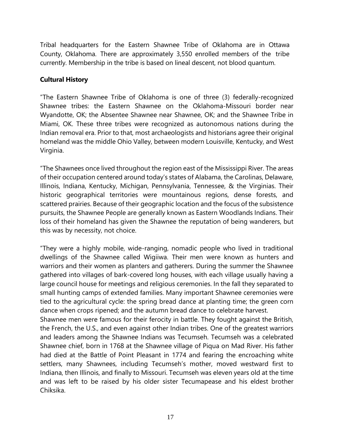Tribal headquarters for the Eastern Shawnee Tribe of Oklahoma are in Ottawa County, Oklahoma. There are approximately 3,550 enrolled members of the tribe currently. Membership in the tribe is based on lineal descent, not blood quantum.

#### **Cultural History**

"The Eastern Shawnee Tribe of Oklahoma is one of three (3) federally-recognized Shawnee tribes: the Eastern Shawnee on the Oklahoma-Missouri border near Wyandotte, OK; the Absentee Shawnee near Shawnee, OK; and the Shawnee Tribe in Miami, OK. These three tribes were recognized as autonomous nations during the Indian removal era. Prior to that, most archaeologists and historians agree their original homeland was the middle Ohio Valley, between modern Louisville, Kentucky, and West Virginia.

"The Shawnees once lived throughout the region east of the Mississippi River. The areas of their occupation centered around today's states of Alabama, the Carolinas, Delaware, Illinois, Indiana, Kentucky, Michigan, Pennsylvania, Tennessee, & the Virginias. Their historic geographical territories were mountainous regions, dense forests, and scattered prairies. Because of their geographic location and the focus of the subsistence pursuits, the Shawnee People are generally known as Eastern Woodlands Indians. Their loss of their homeland has given the Shawnee the reputation of being wanderers, but this was by necessity, not choice.

"They were a highly mobile, wide-ranging, nomadic people who lived in traditional dwellings of the Shawnee called Wigiiwa. Their men were known as hunters and warriors and their women as planters and gatherers. During the summer the Shawnee gathered into villages of bark-covered long houses, with each village usually having a large council house for meetings and religious ceremonies. In the fall they separated to small hunting camps of extended families. Many important Shawnee ceremonies were tied to the agricultural cycle: the spring bread dance at planting time; the green corn dance when crops ripened; and the autumn bread dance to celebrate harvest.

Shawnee men were famous for their ferocity in battle. They fought against the British, the French, the U.S., and even against other Indian tribes. One of the greatest warriors and leaders among the Shawnee Indians was Tecumseh. Tecumseh was a celebrated Shawnee chief, born in 1768 at the Shawnee village of Piqua on Mad River. His father had died at the Battle of Point Pleasant in 1774 and fearing the encroaching white settlers, many Shawnees, including Tecumseh's mother, moved westward first to Indiana, then Illinois, and finally to Missouri. Tecumseh was eleven years old at the time and was left to be raised by his older sister Tecumapease and his eldest brother Chiksika.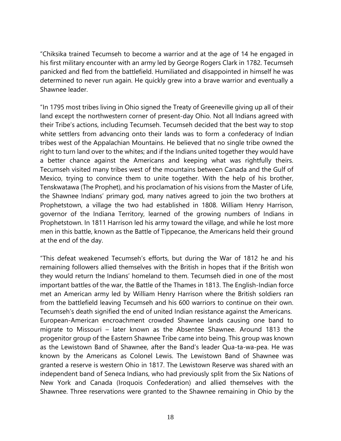"Chiksika trained Tecumseh to become a warrior and at the age of 14 he engaged in his first military encounter with an army led by George Rogers Clark in 1782. Tecumseh panicked and fled from the battlefield. Humiliated and disappointed in himself he was determined to never run again. He quickly grew into a brave warrior and eventually a Shawnee leader.

"In 1795 most tribes living in Ohio signed the Treaty of Greeneville giving up all of their land except the northwestern corner of present-day Ohio. Not all Indians agreed with their Tribe's actions, including Tecumseh. Tecumseh decided that the best way to stop white settlers from advancing onto their lands was to form a confederacy of Indian tribes west of the Appalachian Mountains. He believed that no single tribe owned the right to turn land over to the whites; and if the Indians united together they would have a better chance against the Americans and keeping what was rightfully theirs. Tecumseh visited many tribes west of the mountains between Canada and the Gulf of Mexico, trying to convince them to unite together. With the help of his brother, Tenskwatawa (The Prophet), and his proclamation of his visions from the Master of Life, the Shawnee Indians' primary god, many natives agreed to join the two brothers at Prophetstown, a village the two had established in 1808. William Henry Harrison, governor of the Indiana Territory, learned of the growing numbers of Indians in Prophetstown. In 1811 Harrison led his army toward the village, and while he lost more men in this battle, known as the Battle of Tippecanoe, the Americans held their ground at the end of the day.

"This defeat weakened Tecumseh's efforts, but during the War of 1812 he and his remaining followers allied themselves with the British in hopes that if the British won they would return the Indians' homeland to them. Tecumseh died in one of the most important battles of the war, the Battle of the Thames in 1813. The English-Indian force met an American army led by William Henry Harrison where the British soldiers ran from the battlefield leaving Tecumseh and his 600 warriors to continue on their own. Tecumseh's death signified the end of united Indian resistance against the Americans. European-American encroachment crowded Shawnee lands causing one band to migrate to Missouri – later known as the Absentee Shawnee. Around 1813 the progenitor group of the Eastern Shawnee Tribe came into being. This group was known as the Lewistown Band of Shawnee, after the Band's leader Qua-ta-wa-pea. He was known by the Americans as Colonel Lewis. The Lewistown Band of Shawnee was granted a reserve is western Ohio in 1817. The Lewistown Reserve was shared with an independent band of Seneca Indians, who had previously split from the Six Nations of New York and Canada (Iroquois Confederation) and allied themselves with the Shawnee. Three reservations were granted to the Shawnee remaining in Ohio by the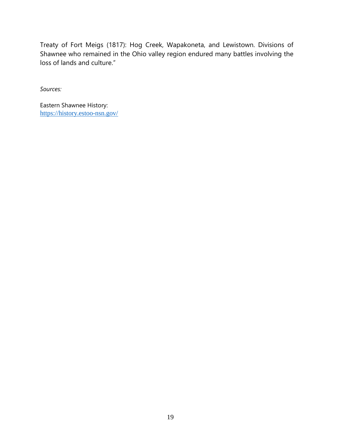Treaty of Fort Meigs (1817): Hog Creek, Wapakoneta, and Lewistown. Divisions of Shawnee who remained in the Ohio valley region endured many battles involving the loss of lands and culture."

*Sources:*

Eastern Shawnee History: <https://history.estoo-nsn.gov/>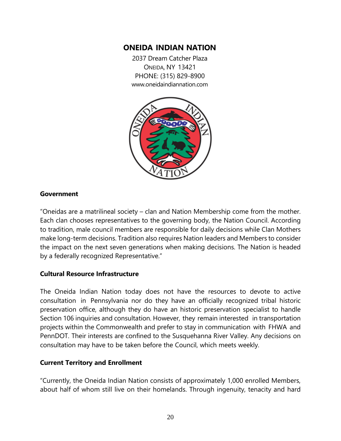## **ONEIDA INDIAN NATION**

2037 Dream Catcher Plaza ONEIDA, NY 13421 PHONE: (315) 829-8900 [www.oneidaindiannation.com](http://www.oneida-nation.net/)



#### **Government**

"Oneidas are a matrilineal society – clan and Nation Membership come from the mother. Each clan chooses representatives to the governing body, the Nation Council. According to tradition, male council members are responsible for daily decisions while Clan Mothers make long-term decisions. Tradition also requires Nation leaders and Members to consider the impact on the next seven generations when making decisions. The Nation is headed by a federally recognized Representative."

#### **Cultural Resource Infrastructure**

The Oneida Indian Nation today does not have the resources to devote to active consultation in Pennsylvania nor do they have an officially recognized tribal historic preservation office, although they do have an historic preservation specialist to handle Section 106 inquiries and consultation. However, they remain interested in transportation projects within the Commonwealth and prefer to stay in communication with FHWA and PennDOT. Their interests are confined to the Susquehanna River Valley. Any decisions on consultation may have to be taken before the Council, which meets weekly.

#### **Current Territory and Enrollment**

"Currently, the Oneida Indian Nation consists of approximately 1,000 enrolled Members, about half of whom still live on their homelands. Through ingenuity, tenacity and hard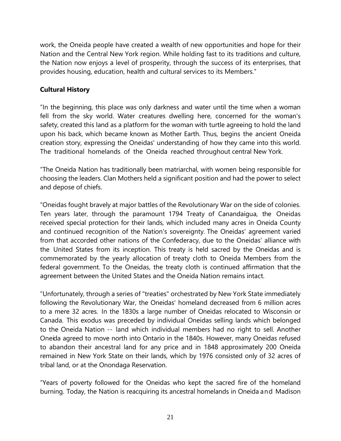work, the Oneida people have created a wealth of new opportunities and hope for their Nation and the Central New York region. While holding fast to its traditions and culture, the Nation now enjoys a level of prosperity, through the success of its enterprises, that provides housing, education, health and cultural services to its Members."

## **Cultural History**

"In the beginning, this place was only darkness and water until the time when a woman fell from the sky world. Water creatures dwelling here, concerned for the woman's safety, created this land as a platform for the woman with turtle agreeing to hold the land upon his back, which became known as Mother Earth. Thus, begins the ancient Oneida creation story, expressing the Oneidas' understanding of how they came into this world. The traditional homelands of the Oneida reached throughout central New York.

"The Oneida Nation has traditionally been matriarchal, with women being responsible for choosing the leaders. Clan Mothers held a significant position and had the power to select and depose of chiefs.

"Oneidas fought bravely at major battles of the Revolutionary War on the side of colonies. Ten years later, through the paramount 1794 Treaty of Canandaigua, the Oneidas received special protection for their lands, which included many acres in Oneida County and continued recognition of the Nation's sovereignty. The Oneidas' agreement varied from that accorded other nations of the Confederacy, due to the Oneidas' alliance with the United States from its inception. This treaty is held sacred by the Oneidas and is commemorated by the yearly allocation of treaty cloth to Oneida Members from the federal government. To the Oneidas, the treaty cloth is continued affirmation that the agreement between the United States and the Oneida Nation remains intact.

"Unfortunately, through a series of "treaties" orchestrated by New York State immediately following the Revolutionary War, the Oneidas' homeland decreased from 6 million acres to a mere 32 acres. In the 1830s a large number of Oneidas relocated to Wisconsin or Canada. This exodus was preceded by individual Oneidas selling lands which belonged to the Oneida Nation -- land which individual members had no right to sell. Another Oneida agreed to move north into Ontario in the 1840s. However, many Oneidas refused to abandon their ancestral land for any price and in 1848 approximately 200 Oneida remained in New York State on their lands, which by 1976 consisted only of 32 acres of tribal land, or at the Onondaga Reservation.

"Years of poverty followed for the Oneidas who kept the sacred fire of the homeland burning. Today, the Nation is reacquiring its ancestral homelands in Oneida and Madison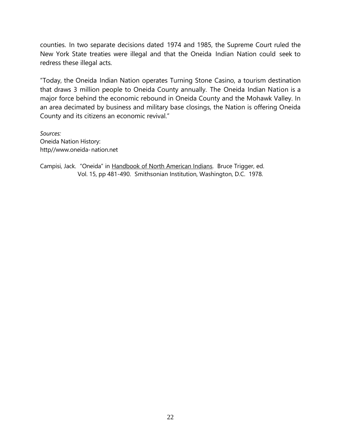counties. In two separate decisions dated 1974 and 1985, the Supreme Court ruled the New York State treaties were illegal and that the Oneida Indian Nation could seek to redress these illegal acts.

"Today, the Oneida Indian Nation operates Turning Stone Casino, a tourism destination that draws 3 million people to Oneida County annually. The Oneida Indian Nation is a major force behind the economic rebound in Oneida County and the Mohawk Valley. In an area decimated by business and military base closings, the Nation is offering Oneida County and its citizens an economic revival."

*Sources:*  Oneida Nation History: http//www.oneida-nation.net

Campisi, Jack. "Oneida" in Handbook of North American Indians. Bruce Trigger, ed. Vol. 15, pp 481-490. Smithsonian Institution, Washington, D.C. 1978.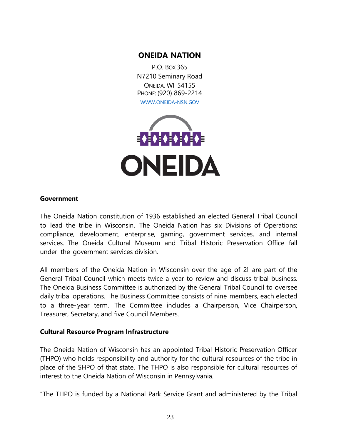## **ONEIDA NATION**

P.O. BOX 365 N7210 Seminary Road ONEIDA, WI 54155 PHONE: (920) 869-2214 [WWW.ONEIDA-NSN.GOV](http://www.oneida-nsn.gov/)



#### **Government**

The Oneida Nation constitution of 1936 established an elected General Tribal Council to lead the tribe in Wisconsin. The Oneida Nation has six Divisions of Operations: compliance, development, enterprise, gaming, government services, and internal services. The Oneida Cultural Museum and Tribal Historic Preservation Office fall under the government services division.

All members of the Oneida Nation in Wisconsin over the age of 21 are part of the General Tribal Council which meets twice a year to review and discuss tribal business. The Oneida Business Committee is authorized by the General Tribal Council to oversee daily tribal operations. The Business Committee consists of nine members, each elected to a three-year term. The Committee includes a Chairperson, Vice Chairperson, Treasurer, Secretary, and five Council Members.

#### **Cultural Resource Program Infrastructure**

The Oneida Nation of Wisconsin has an appointed Tribal Historic Preservation Officer (THPO) who holds responsibility and authority for the cultural resources of the tribe in place of the SHPO of that state. The THPO is also responsible for cultural resources of interest to the Oneida Nation of Wisconsin in Pennsylvania.

"The THPO is funded by a National Park Service Grant and administered by the Tribal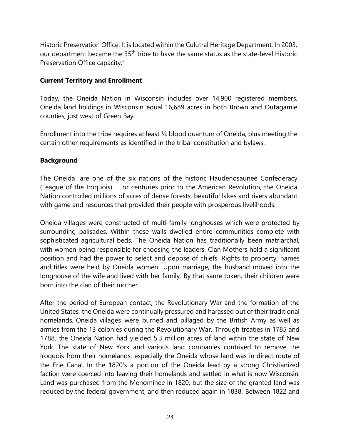Historic Preservation Office. It is located within the Culutral Heritage Department. In 2003, our department became the 35<sup>th</sup> tribe to have the same status as the state-level Historic Preservation Office capacity."

#### **Current Territory and Enrollment**

Today, the Oneida Nation in Wisconsin includes over 14,900 registered members. Oneida land holdings in Wisconsin equal 16,689 acres in both Brown and Outagamie counties, just west of Green Bay.

Enrollment into the tribe requires at least ¼ blood quantum of Oneida, plus meeting the certain other requirements as identified in the tribal constitution and bylaws.

#### **Background**

The Oneida are one of the six nations of the historic Haudenosaunee Confederacy (League of the Iroquois). For centuries prior to the American Revolution, the Oneida Nation controlled millions of acres of dense forests, beautiful lakes and rivers abundant with game and resources that provided their people with prosperous livelihoods.

Oneida villages were constructed of multi- family longhouses which were protected by surrounding palisades. Within these walls dwelled entire communities complete with sophisticated agricultural beds. The Oneida Nation has traditionally been matriarchal, with women being responsible for choosing the leaders. Clan Mothers held a significant position and had the power to select and depose of chiefs. Rights to property, names and titles were held by Oneida women. Upon marriage, the husband moved into the longhouse of the wife and lived with her family. By that same token, their children were born into the clan of their mother.

After the period of European contact, the Revolutionary War and the formation of the United States, the Oneida were continually pressured and harassed out of their traditional homelands. Oneida villages were burned and pillaged by the British Army as well as armies from the 13 colonies during the Revolutionary War. Through treaties in 1785 and 1788, the Oneida Nation had yielded 5.3 million acres of land within the state of New York. The state of New York and various land companies contrived to remove the Iroquois from their homelands, especially the Oneida whose land was in direct route of the Erie Canal. In the 1820's a portion of the Oneida lead by a strong Christianized faction were coerced into leaving their homelands and settled in what is now Wisconsin. Land was purchased from the Menominee in 1820, but the size of the granted land was reduced by the federal government, and then reduced again in 1838. Between 1822 and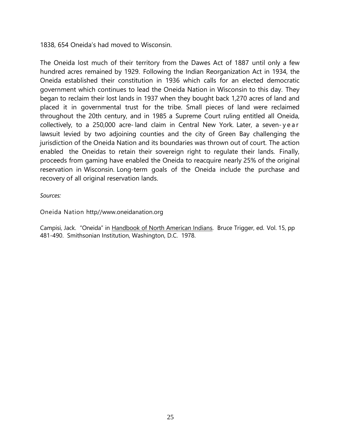1838, 654 Oneida's had moved to Wisconsin.

The Oneida lost much of their territory from the Dawes Act of 1887 until only a few hundred acres remained by 1929. Following the Indian Reorganization Act in 1934, the Oneida established their constitution in 1936 which calls for an elected democratic government which continues to lead the Oneida Nation in Wisconsin to this day. They began to reclaim their lost lands in 1937 when they bought back 1,270 acres of land and placed it in governmental trust for the tribe. Small pieces of land were reclaimed throughout the 20th century, and in 1985 a Supreme Court ruling entitled all Oneida, collectively, to a 250,000 acre- land claim in Central New York. Later, a seven- year lawsuit levied by two adjoining counties and the city of Green Bay challenging the jurisdiction of the Oneida Nation and its boundaries was thrown out of court. The action enabled the Oneidas to retain their sovereign right to regulate their lands. Finally, proceeds from gaming have enabled the Oneida to reacquire nearly 25% of the original reservation in Wisconsin. Long-term goals of the Oneida include the purchase and recovery of all original reservation lands.

*Sources:*

Oneida Nation [http//www.oneidanation.org](http://www.oneidanation.org/)

Campisi, Jack. "Oneida" in Handbook of North American Indians. Bruce Trigger, ed. Vol. 15, pp 481-490. Smithsonian Institution, Washington, D.C. 1978.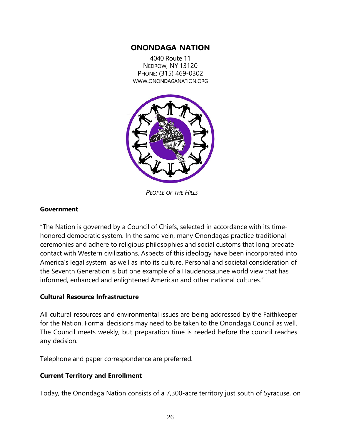## **ONONDAGA NATION**

4040 Route 11 NEDROW, NY 13120 PHONE: (315) 469-0302 [WWW.ONONDAGANATION.ORG](http://www.onondaganation.org/)



*PEOPLE OF THE HILLS*

#### **Government**

"The Nation is governed by a [Council of Chiefs,](http://www.onondaganation.org/government/chiefs/) selected in accordance with its timehonored democratic system. In the same vein, many Onondagas practice traditional ceremonies and adhere to religious philosophies and social customs that long predate contact with Western civilizations. Aspects of this ideology have been incorporated into America's legal system, as well as into its culture. Personal and societal consideration of the Seventh Generation is but one example of a Haudenosaunee world view that has informed, enhanced and enlightened American and other national cultures."

#### **Cultural Resource Infrastructure**

All cultural resources and environmental issues are being addressed by the Faithkeeper for the Nation. Formal decisions may need to be taken to the Onondaga Council as well. The Council meets weekly, but preparation time is needed before the council reaches any decision.

Telephone and paper correspondence are preferred.

#### **Current Territory and Enrollment**

Today, the Onondaga Nation consists of a 7,300-acre territory just south of Syracuse, on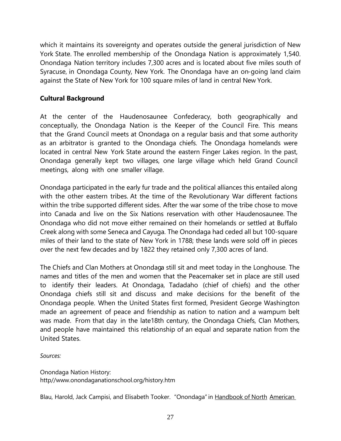which it maintains its sovereignty and operates outside the general jurisdiction of New York State. The enrolled membership of the Onondaga Nation is approximately 1,540. Onondaga Nation territory includes 7,300 acres and is located about five miles south of Syracuse, in Onondaga County, New York. The Onondaga have an on-going land claim against the State of New York for 100 square miles of land in central New York.

#### **Cultural Background**

At the center of the Haudenosaunee Confederacy, both geographically and conceptually, the Onondaga Nation is the Keeper of the Council Fire. This means that the Grand Council meets at Onondaga on a regular basis and that some authority as an arbitrator is granted to the Onondaga chiefs. The Onondaga homelands were located in central New York State around the eastern Finger Lakes region. In the past, Onondaga generally kept two villages, one large village which held Grand Council meetings, along with one smaller village.

Onondaga participated in the early fur trade and the political alliances this entailed along with the other eastern tribes. At the time of the Revolutionary War different factions within the tribe supported different sides. After the war some of the tribe chose to move into Canada and live on the Six Nations reservation with other Haudenosaunee. The Onondaga who did not move either remained on their homelands or settled at Buffalo Creek along with some Seneca and Cayuga. The Onondaga had ceded all but 100-square miles of their land to the state of New York in 1788; these lands were sold off in pieces over the next few decades and by 1822 they retained only 7,300 acres of land.

The Chiefs and Clan Mothers at Onondaga still sit and meet today in the Longhouse. The names and titles of the men and women that the Peacemaker set in place are still used to identify their leaders. At Onondaga, Tadadaho (chief of chiefs) and the other Onondaga chiefs still sit and discuss and make decisions for the benefit of the Onondaga people. When the United States first formed, President George Washington made an agreement of peace and friendship as nation to nation and a wampum belt was made. From that day in the late18th century, the Onondaga Chiefs, Clan Mothers, and people have maintained this relationship of an equal and separate nation from the United States.

*Sources:* 

Onondaga Nation History: http/[/www.onondaganationschool.org/history.htm](http://www.onondaganationschool.org/history.htm)

Blau, Harold, Jack Campisi, and Elisabeth Tooker. "Onondaga" in Handbook of North American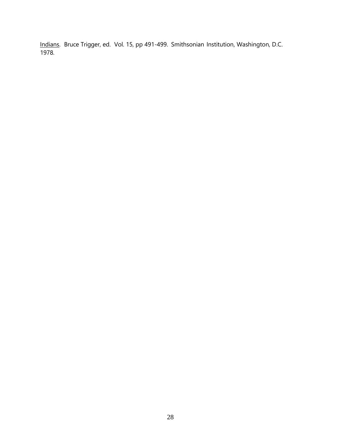Indians. Bruce Trigger, ed. Vol. 15, pp 491-499. Smithsonian Institution, Washington, D.C. 1978.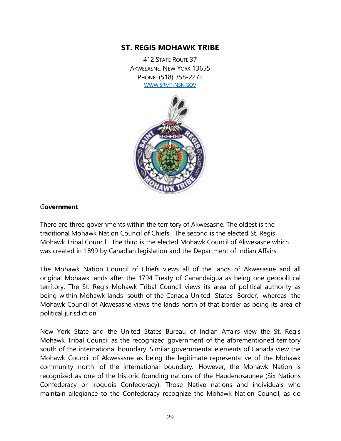## **ST. REGIS MOHAWK TRIBE**

412 STATE ROUTE 37 AKWESASNE, NEW YORK 13655 PHONE: (518) 358-2272 [WWW.SRMT-NSN.GOV](http://www.srmt-nsn.gov/)



#### G**overnment**

There are three governments within the territory of Akwesasne. The oldest is the traditional Mohawk Nation Council of Chiefs. The second is the elected St. Regis Mohawk Tribal Council. The third is the elected Mohawk Council of Akwesasne which was created in 1899 by Canadian legislation and the Department of Indian Affairs.

The Mohawk Nation Council of Chiefs views all of the lands of Akwesasne and all original Mohawk lands after the 1794 Treaty of Canandaigua as being one geopolitical territory. The St. Regis Mohawk Tribal Council views its area of political authority as being within Mohawk lands south of the Canada-United States Border, whereas the Mohawk Council of Akwesasne views the lands north of that border as being its area of political jurisdiction.

New York State and the United States Bureau of Indian Affairs view the St. Regis Mohawk Tribal Council as the recognized government of the aforementioned territory south of the international boundary. Similar governmental elements of Canada view the Mohawk Council of Akwesasne as being the legitimate representative of the Mohawk community north of the international boundary. However, the Mohawk Nation is recognized as one of the historic founding nations of the Haudenosaunee (Six Nations Confederacy or Iroquois Confederacy). Those Native nations and individuals who maintain allegiance to the Confederacy recognize the Mohawk Nation Council, as do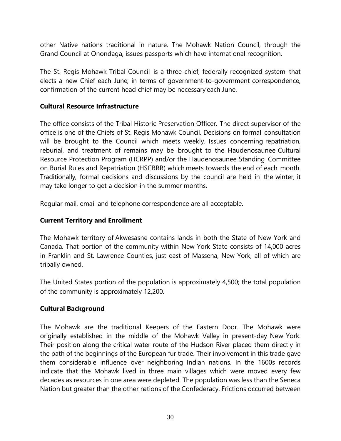other Native nations traditional in nature. The Mohawk Nation Council, through the Grand Council at Onondaga, issues passports which have international recognition.

The St. Regis Mohawk Tribal Council is a three chief, federally recognized system that elects a new Chief each June; in terms of government-to-government correspondence, confirmation of the current head chief may be necessary each June.

#### **Cultural Resource Infrastructure**

The office consists of the Tribal Historic Preservation Officer. The direct supervisor of the office is one of the Chiefs of St. Regis Mohawk Council. Decisions on formal consultation will be brought to the Council which meets weekly. Issues concerning repatriation, reburial, and treatment of remains may be brought to the Haudenosaunee Cultural Resource Protection Program (HCRPP) and/or the Haudenosaunee Standing Committee on Burial Rules and Repatriation (HSCBRR) which meets towards the end of each month. Traditionally, formal decisions and discussions by the council are held in the winter; it may take longer to get a decision in the summer months.

Regular mail, email and telephone correspondence are all acceptable.

## **Current Territory and Enrollment**

The Mohawk territory of Akwesasne contains lands in both the State of New York and Canada. That portion of the community within New York State consists of 14,000 acres in Franklin and St. Lawrence Counties, just east of Massena, New York, all of which are tribally owned.

The United States portion of the population is approximately 4,500; the total population of the community is approximately 12,200.

## **Cultural Background**

The Mohawk are the traditional Keepers of the Eastern Door. The Mohawk were originally established in the middle of the Mohawk Valley in present-day New York. Their position along the critical water route of the Hudson River placed them directly in the path of the beginnings of the European fur trade. Their involvement in this trade gave them considerable influence over neighboring Indian nations. In the 1600s records indicate that the Mohawk lived in three main villages which were moved every few decades as resources in one area were depleted. The population was less than the Seneca Nation but greater than the other nations of the Confederacy. Frictions occurred between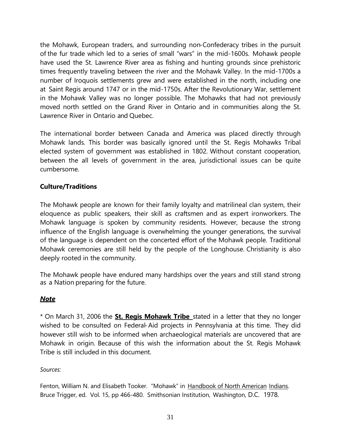the Mohawk, European traders, and surrounding non-Confederacy tribes in the pursuit of the fur trade which led to a series of small "wars" in the mid-1600s. Mohawk people have used the St. Lawrence River area as fishing and hunting grounds since prehistoric times frequently traveling between the river and the Mohawk Valley. In the mid-1700s a number of Iroquois settlements grew and were established in the north, including one at Saint Regis around 1747 or in the mid-1750s. After the Revolutionary War, settlement in the Mohawk Valley was no longer possible. The Mohawks that had not previously moved north settled on the Grand River in Ontario and in communities along the St. Lawrence River in Ontario and Quebec.

The international border between Canada and America was placed directly through Mohawk lands. This border was basically ignored until the St. Regis Mohawks Tribal elected system of government was established in 1802. Without constant cooperation, between the all levels of government in the area, jurisdictional issues can be quite cumbersome.

## **Culture/Traditions**

The Mohawk people are known for their family loyalty and matrilineal clan system, their eloquence as public speakers, their skill as craftsmen and as expert ironworkers. The Mohawk language is spoken by community residents. However, because the strong influence of the English language is overwhelming the younger generations, the survival of the language is dependent on the concerted effort of the Mohawk people. Traditional Mohawk ceremonies are still held by the people of the Longhouse. Christianity is also deeply rooted in the community.

The Mohawk people have endured many hardships over the years and still stand strong as a Nation preparing for the future.

#### *Note*

\* On March 31, 2006 the **St. Regis Mohawk Tribe** stated in a letter that they no longer wished to be consulted on Federal-Aid projects in Pennsylvania at this time. They did however still wish to be informed when archaeological materials are uncovered that are Mohawk in origin. Because of this wish the information about the St. Regis Mohawk Tribe is still included in this document.

#### *Sources:*

Fenton, William N. and Elisabeth Tooker. "Mohawk" in Handbook of North American Indians. Bruce Trigger, ed. Vol. 15, pp 466-480. Smithsonian Institution, Washington, D.C. 1978.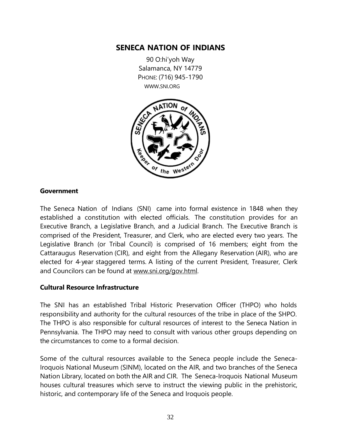## **SENECA NATION OF INDIANS**

90 O:hi'yoh Way Salamanca, NY 14779 PHONE: (716) 945-1790 [WWW.SNI.ORG](http://www.sni.org/)



#### **Government**

The Seneca Nation of Indians (SNI) came into formal existence in 1848 when they established a constitution with elected officials. The constitution provides for an Executive Branch, a Legislative Branch, and a Judicial Branch. The Executive Branch is comprised of the President, Treasurer, and Clerk, who are elected every two years. The Legislative Branch (or Tribal Council) is comprised of 16 members; eight from the Cattaraugus Reservation (CIR), and eight from the Allegany Reservation (AIR), who are elected for 4-year staggered terms. A listing of the current President, Treasurer, Clerk and Councilors can be found at [www.sni.org/gov.html.](http://www.sni.org/gov.html)

#### **Cultural Resource Infrastructure**

The SNI has an established Tribal Historic Preservation Officer (THPO) who holds responsibility and authority for the cultural resources of the tribe in place of the SHPO. The THPO is also responsible for cultural resources of interest to the Seneca Nation in Pennsylvania. The THPO may need to consult with various other groups depending on the circumstances to come to a formal decision.

Some of the cultural resources available to the Seneca people include the Seneca-Iroquois National Museum (SINM), located on the AIR, and two branches of the Seneca Nation Library, located on both the AIR and CIR. The Seneca-Iroquois National Museum houses cultural treasures which serve to instruct the viewing public in the prehistoric, historic, and contemporary life of the Seneca and Iroquois people.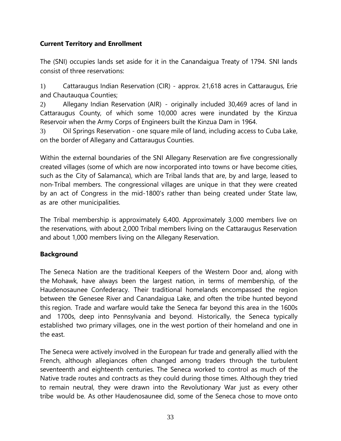## **Current Territory and Enrollment**

The (SNI) occupies lands set aside for it in the Canandaigua Treaty of 1794. SNI lands consist of three reservations:

1) Cattaraugus Indian Reservation (CIR) - approx. 21,618 acres in Cattaraugus, Erie and Chautauqua Counties;

2) Allegany Indian Reservation (AIR) - originally included 30,469 acres of land in Cattaraugus County, of which some 10,000 acres were inundated by the Kinzua Reservoir when the Army Corps of Engineers built the Kinzua Dam in 1964.

3) Oil Springs Reservation - one square mile of land, including access to Cuba Lake, on the border of Allegany and Cattaraugus Counties.

Within the external boundaries of the SNI Allegany Reservation are five congressionally created villages (some of which are now incorporated into towns or have become cities, such as the City of Salamanca), which are Tribal lands that are, by and large, leased to non-Tribal members. The congressional villages are unique in that they were created by an act of Congress in the mid-1800's rather than being created under State law, as are other municipalities.

The Tribal membership is approximately 6,400. Approximately 3,000 members live on the reservations, with about 2,000 Tribal members living on the Cattaraugus Reservation and about 1,000 members living on the Allegany Reservation.

## **Background**

The Seneca Nation are the traditional Keepers of the Western Door and, along with the Mohawk, have always been the largest nation, in terms of membership, of the Haudenosaunee Confederacy. Their traditional homelands encompassed the region between the Genesee River and Canandaigua Lake, and often the tribe hunted beyond this region. Trade and warfare would take the Seneca far beyond this area in the 1600s and 1700s, deep into Pennsylvania and beyond. Historically, the Seneca typically established two primary villages, one in the west portion of their homeland and one in the east.

The Seneca were actively involved in the European fur trade and generally allied with the French, although allegiances often changed among traders through the turbulent seventeenth and eighteenth centuries. The Seneca worked to control as much of the Native trade routes and contracts as they could during those times. Although they tried to remain neutral, they were drawn into the Revolutionary War just as every other tribe would be. As other Haudenosaunee did, some of the Seneca chose to move onto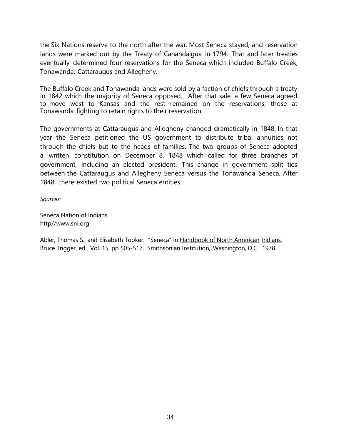the Six Nations reserve to the north after the war. Most Seneca stayed, and reservation lands were marked out by the Treaty of Canandaigua in 1794. That and later treaties eventually determined four reservations for the Seneca which included Buffalo Creek, Tonawanda, Cattaraugus and Allegheny.

The Buffalo Creek and Tonawanda lands were sold by a faction of chiefs through a treaty in 1842 which the majority of Seneca opposed. After that sale, a few Seneca agreed to move west to Kansas and the rest remained on the reservations, those at Tonawanda fighting to retain rights to their reservation.

The governments at Cattaraugus and Allegheny changed dramatically in 1848. In that year the Seneca petitioned the US government to distribute tribal annuities not through the chiefs but to the heads of families. The two groups of Seneca adopted a written constitution on December 8, 1848 which called for three branches of government, including an elected president. This change in government split ties between the Cattaraugus and Allegheny Seneca versus the Tonawanda Seneca. After 1848, there existed two political Seneca entities.

*Sources:*

Seneca Nation of Indians [http//www.sni.org](http://www.sni.org/)

Abler, Thomas S., and Elisabeth Tooker. "Seneca" in Handbook of North American Indians. Bruce Trigger, ed. Vol. 15, pp 505-517. Smithsonian Institution, Washington, D.C. 1978.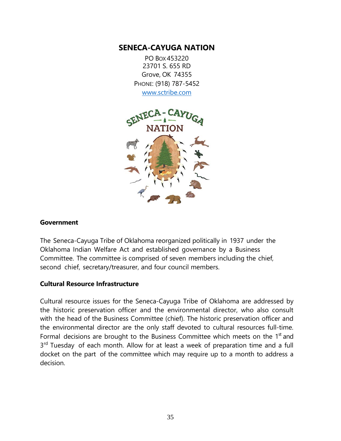## **SENECA-CAYUGA NATION**

PO BOX 453220 23701 S. 655 RD Grove, OK 74355 PHONE: (918) 787-5452 [www.sctribe.com](http://www.sctribe.com/)



#### **Government**

The Seneca-Cayuga Tribe of Oklahoma reorganized politically in 1937 under the Oklahoma Indian Welfare Act and established governance by a Business Committee. The committee is comprised of seven members including the chief, second chief, secretary/treasurer, and four council members.

#### **Cultural Resource Infrastructure**

Cultural resource issues for the Seneca-Cayuga Tribe of Oklahoma are addressed by the historic preservation officer and the environmental director, who also consult with the head of the Business Committee (chief). The historic preservation officer and the environmental director are the only staff devoted to cultural resources full-time. Formal decisions are brought to the Business Committee which meets on the  $1<sup>st</sup>$  and 3<sup>rd</sup> Tuesday of each month. Allow for at least a week of preparation time and a full docket on the part of the committee which may require up to a month to address a decision.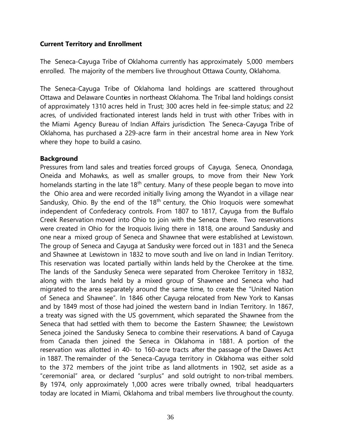#### **Current Territory and Enrollment**

The Seneca-Cayuga Tribe of Oklahoma currently has approximately 5,000 members enrolled. The majority of the members live throughout Ottawa County, Oklahoma.

The Seneca-Cayuga Tribe of Oklahoma land holdings are scattered throughout Ottawa and Delaware Counties in northeast Oklahoma. The Tribal land holdings consist of approximately 1310 acres held in Trust; 300 acres held in fee-simple status; and 22 acres, of undivided fractionated interest lands held in trust with other Tribes with in the Miami Agency Bureau of Indian Affairs jurisdiction. The Seneca-Cayuga Tribe of Oklahoma, has purchased a 229-acre farm in their ancestral home area in New York where they hope to build a casino.

#### **Background**

Pressures from land sales and treaties forced groups of Cayuga, Seneca, Onondaga, Oneida and Mohawks, as well as smaller groups, to move from their New York homelands starting in the late  $18<sup>th</sup>$  century. Many of these people began to move into the Ohio area and were recorded initially living among the Wyandot in a village near Sandusky, Ohio. By the end of the  $18<sup>th</sup>$  century, the Ohio Iroquois were somewhat independent of Confederacy controls. From 1807 to 1817, Cayuga from the Buffalo Creek Reservation moved into Ohio to join with the Seneca there. Two reservations were created in Ohio for the Iroquois living there in 1818, one around Sandusky and one near a mixed group of Seneca and Shawnee that were established at Lewistown. The group of Seneca and Cayuga at Sandusky were forced out in 1831 and the Seneca and Shawnee at Lewistown in 1832 to move south and live on land in Indian Territory. This reservation was located partially within lands held by the Cherokee at the time. The lands of the Sandusky Seneca were separated from Cherokee Territory in 1832, along with the lands held by a mixed group of Shawnee and Seneca who had migrated to the area separately around the same time, to create the "United Nation of Seneca and Shawnee". In 1846 other Cayuga relocated from New York to Kansas and by 1849 most of those had joined the western band in Indian Territory. In 1867, a treaty was signed with the US government, which separated the Shawnee from the Seneca that had settled with them to become the Eastern Shawnee; the Lewistown Seneca joined the Sandusky Seneca to combine their reservations. A band of Cayuga from Canada then joined the Seneca in Oklahoma in 1881. A portion of the reservation was allotted in 40- to 160-acre tracts after the passage of the Dawes Act in 1887. The remainder of the Seneca-Cayuga territory in Oklahoma was either sold to the 372 members of the joint tribe as land allotments in 1902, set aside as a "ceremonial" area, or declared "surplus" and sold outright to non-tribal members. By 1974, only approximately 1,000 acres were tribally owned, tribal headquarters today are located in Miami, Oklahoma and tribal members live throughout the county.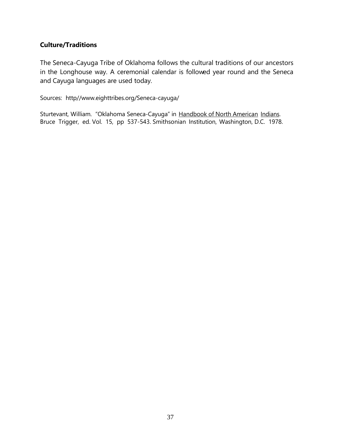## **Culture/Traditions**

The Seneca-Cayuga Tribe of Oklahoma follows the cultural traditions of our ancestors in the Longhouse way. A ceremonial calendar is followed year round and the Seneca and Cayuga languages are used today.

Sources: http/[/www.eighttribes.org/Seneca-cayuga/](http://www.eighttribes.org/Seneca-cayuga/)

Sturtevant, William. "Oklahoma Seneca-Cayuga" in Handbook of North American Indians. Bruce Trigger, ed. Vol. 15, pp 537-543. Smithsonian Institution, Washington, D.C. 1978.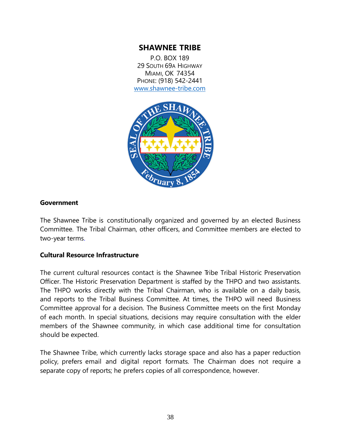## **SHAWNEE TRIBE**

P.O. BOX 189 29 SOUTH 69A HIGHWAY MIAMI, OK 74354 PHONE: (918) 542-2441 [www.shawnee-tribe.com](http://www.shawnee-tribe.com/)



#### **Government**

The Shawnee Tribe is constitutionally organized and governed by an elected Business Committee. The Tribal Chairman, other officers, and Committee members are elected to two-year terms.

#### **Cultural Resource Infrastructure**

The current cultural resources contact is the Shawnee Tribe Tribal Historic Preservation Officer. The Historic Preservation Department is staffed by the THPO and two assistants. The THPO works directly with the Tribal Chairman, who is available on a daily basis, and reports to the Tribal Business Committee. At times, the THPO will need Business Committee approval for a decision. The Business Committee meets on the first Monday of each month. In special situations, decisions may require consultation with the elder members of the Shawnee community, in which case additional time for consultation should be expected.

The Shawnee Tribe, which currently lacks storage space and also has a paper reduction policy, prefers email and digital report formats. The Chairman does not require a separate copy of reports; he prefers copies of all correspondence, however.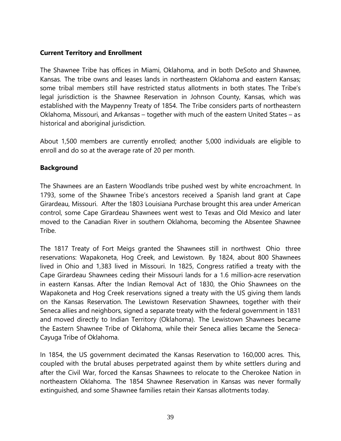#### **Current Territory and Enrollment**

The Shawnee Tribe has offices in Miami, Oklahoma, and in both DeSoto and Shawnee, Kansas. The tribe owns and leases lands in northeastern Oklahoma and eastern Kansas; some tribal members still have restricted status allotments in both states. The Tribe's legal jurisdiction is the Shawnee Reservation in Johnson County, Kansas, which was established with the Maypenny Treaty of 1854. The Tribe considers parts of northeastern Oklahoma, Missouri, and Arkansas – together with much of the eastern United States – as historical and aboriginal jurisdiction.

About 1,500 members are currently enrolled; another 5,000 individuals are eligible to enroll and do so at the average rate of 20 per month.

## **Background**

The Shawnees are an Eastern Woodlands tribe pushed west by white encroachment. In 1793, some of the Shawnee Tribe's ancestors received a Spanish land grant at Cape Girardeau, Missouri. After the 1803 Louisiana Purchase brought this area under American control, some Cape Girardeau Shawnees went west to Texas and Old Mexico and later moved to the Canadian River in southern Oklahoma, becoming the Absentee Shawnee Tribe.

The 1817 Treaty of Fort Meigs granted the Shawnees still in northwest Ohio three reservations: Wapakoneta, Hog Creek, and Lewistown. By 1824, about 800 Shawnees lived in Ohio and 1,383 lived in Missouri. In 1825, Congress ratified a treaty with the Cape Girardeau Shawnees ceding their Missouri lands for a 1.6 million-acre reservation in eastern Kansas. After the Indian Removal Act of 1830, the Ohio Shawnees on the Wapakoneta and Hog Creek reservations signed a treaty with the US giving them lands on the Kansas Reservation. The Lewistown Reservation Shawnees, together with their Seneca allies and neighbors, signed a separate treaty with the federal government in 1831 and moved directly to Indian Territory (Oklahoma). The Lewistown Shawnees became the Eastern Shawnee Tribe of Oklahoma, while their Seneca allies became the Seneca-Cayuga Tribe of Oklahoma.

In 1854, the US government decimated the Kansas Reservation to 160,000 acres. This, coupled with the brutal abuses perpetrated against them by white settlers during and after the Civil War, forced the Kansas Shawnees to relocate to the Cherokee Nation in northeastern Oklahoma. The 1854 Shawnee Reservation in Kansas was never formally extinguished, and some Shawnee families retain their Kansas allotments today.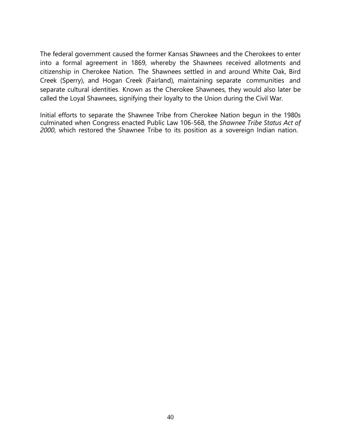The federal government caused the former Kansas Shawnees and the Cherokees to enter into a formal agreement in 1869, whereby the Shawnees received allotments and citizenship in Cherokee Nation. The Shawnees settled in and around White Oak, Bird Creek (Sperry), and Hogan Creek (Fairland), maintaining separate communities and separate cultural identities. Known as the Cherokee Shawnees, they would also later be called the Loyal Shawnees, signifying their loyalty to the Union during the Civil War.

Initial efforts to separate the Shawnee Tribe from Cherokee Nation begun in the 1980s culminated when Congress enacted Public Law 106-568, the *Shawnee Tribe Status Act of 2000*, which restored the Shawnee Tribe to its position as a sovereign Indian nation.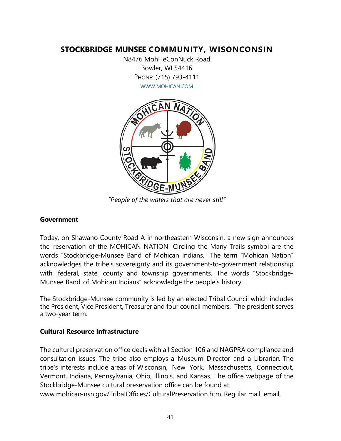## **STOCKBRIDGE MUNSEE COMMUNITY, WISONCONSIN**

N8476 MohHeConNuck Road Bowler, WI 54416 PHONE: (715) 793-4111 [WWW.MOHICAN.COM](http://www.mohican.com/)



*"People of the waters that are never still"*

#### **Government**

Today, on Shawano County Road A in northeastern Wisconsin, a new sign announces the reservation of the MOHICAN NATION. Circling the Many Trails symbol are the words "Stockbridge-Munsee Band of Mohican Indians." The term "Mohican Nation" acknowledges the tribe's sovereignty and its government-to-government relationship with federal, state, county and township governments. The words "Stockbridge-Munsee Band of Mohican Indians" acknowledge the people's history.

The Stockbridge-Munsee community is led by an elected Tribal Council which includes the President, Vice President, Treasurer and four council members. The president serves a two-year term.

#### **Cultural Resource Infrastructure**

The cultural preservation office deals with all Section 106 and NAGPRA compliance and consultation issues. The tribe also employs a Museum Director and a Librarian. The tribe's interests include areas of Wisconsin, New York, Massachusetts, Connecticut, Vermont, Indiana, Pennsylvania, Ohio, Illinois, and Kansas. The office webpage of the Stockbridge-Munsee cultural preservation office can be found at:

[www.mohican-nsn.gov/TribalOffices/CulturalPreservation.htm.](http://www.mohican-nsn.gov/TribalOffices/CulturalPreservation.htm) Regular mail, email,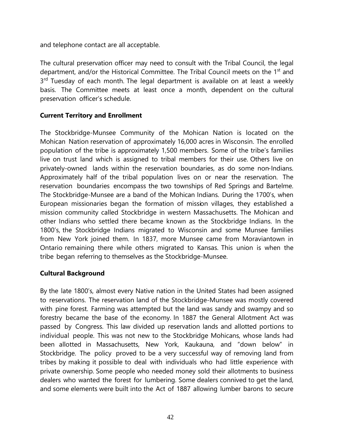and telephone contact are all acceptable.

The cultural preservation officer may need to consult with the Tribal Council, the legal department, and/or the Historical Committee. The Tribal Council meets on the 1<sup>st</sup> and 3<sup>rd</sup> Tuesday of each month. The legal department is available on at least a weekly basis. The Committee meets at least once a month, dependent on the cultural preservation officer's schedule.

#### **Current Territory and Enrollment**

The Stockbridge-Munsee Community of the Mohican Nation is located on the Mohican Nation reservation of approximately 16,000 acres in Wisconsin. The enrolled population of the tribe is approximately 1,500 members. Some of the tribe's families live on trust land which is assigned to tribal members for their use. Others live on privately-owned lands within the reservation boundaries, as do some non-Indians. Approximately half of the tribal population lives on or near the reservation. The reservation boundaries encompass the two townships of Red Springs and Bartelme. The Stockbridge-Munsee are a band of the Mohican Indians. During the 1700's, when European missionaries began the formation of mission villages, they established a mission community called Stockbridge in western Massachusetts. The Mohican and other Indians who settled there became known as the Stockbridge Indians. In the 1800's, the Stockbridge Indians migrated to Wisconsin and some Munsee families from New York joined them. In 1837, more Munsee came from Moraviantown in Ontario remaining there while others migrated to Kansas. This union is when the tribe began referring to themselves as the Stockbridge-Munsee.

#### **Cultural Background**

By the late 1800's, almost every Native nation in the United States had been assigned to reservations. The reservation land of the Stockbridge-Munsee was mostly covered with pine forest. Farming was attempted but the land was sandy and swampy and so forestry became the base of the economy. In 1887 the General Allotment Act was passed by Congress. This law divided up reservation lands and allotted portions to individual people. This was not new to the Stockbridge Mohicans, whose lands had been allotted in Massachusetts, New York, Kaukauna, and "down below" in Stockbridge. The policy proved to be a very successful way of removing land from tribes by making it possible to deal with individuals who had little experience with private ownership. Some people who needed money sold their allotments to business dealers who wanted the forest for lumbering. Some dealers connived to get the land, and some elements were built into the Act of 1887 allowing lumber barons to secure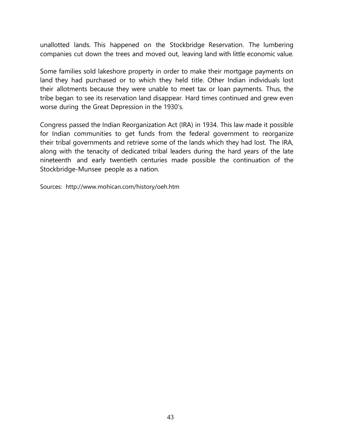unallotted lands. This happened on the Stockbridge Reservation. The lumbering companies cut down the trees and moved out, leaving land with little economic value.

Some families sold lakeshore property in order to make their mortgage payments on land they had purchased or to which they held title. Other Indian individuals lost their allotments because they were unable to meet tax or loan payments. Thus, the tribe began to see its reservation land disappear. Hard times continued and grew even worse during the Great Depression in the 1930's.

Congress passed the Indian Reorganization Act (IRA) in 1934. This law made it possible for Indian communities to get funds from the federal government to reorganize their tribal governments and retrieve some of the lands which they had lost. The IRA, along with the tenacity of dedicated tribal leaders during the hard years of the late nineteenth and early twentieth centuries made possible the continuation of the Stockbridge-Munsee people as a nation.

Sources: <http://www.mohican.com/history/oeh.htm>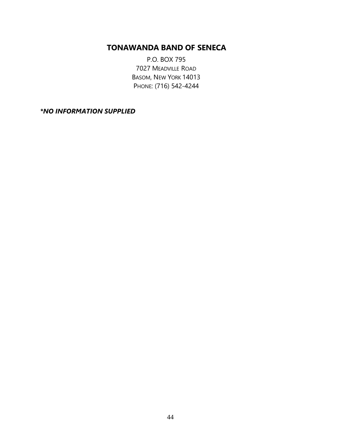## **TONAWANDA BAND OF SENECA**

P.O. BOX 795 7027 MEADVILLE ROAD BASOM, NEW YORK 14013 PHONE: (716) 542-4244

*\*NO INFORMATION SUPPLIED*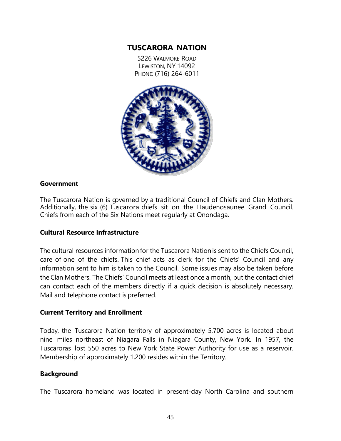## **TUSCARORA NATION**

5226 WALMORE ROAD LEWISTON, NY 14092 PHONE: (716) 264-6011



#### **Government**

The Tuscarora Nation is governed by a traditional Council of Chiefs and Clan Mothers. Additionally, the six (6) Tuscarora chiefs sit on the Haudenosaunee Grand Council. Chiefs from each of the Six Nations meet regularly at Onondaga.

#### **Cultural Resource Infrastructure**

The cultural resources information for the Tuscarora Nationis sent to the Chiefs Council, care of one of the chiefs. This chief acts as clerk for the Chiefs' Council and any information sent to him is taken to the Council. Some issues may also be taken before the Clan Mothers. The Chiefs' Council meets at least once a month, but the contact chief can contact each of the members directly if a quick decision is absolutely necessary. Mail and telephone contact is preferred.

#### **Current Territory and Enrollment**

Today, the Tuscarora Nation territory of approximately 5,700 acres is located about nine miles northeast of Niagara Falls in Niagara County, New York. In 1957, the Tuscaroras lost 550 acres to New York State Power Authority for use as a reservoir. Membership of approximately 1,200 resides within the Territory.

#### **Background**

The Tuscarora homeland was located in present-day North Carolina and southern